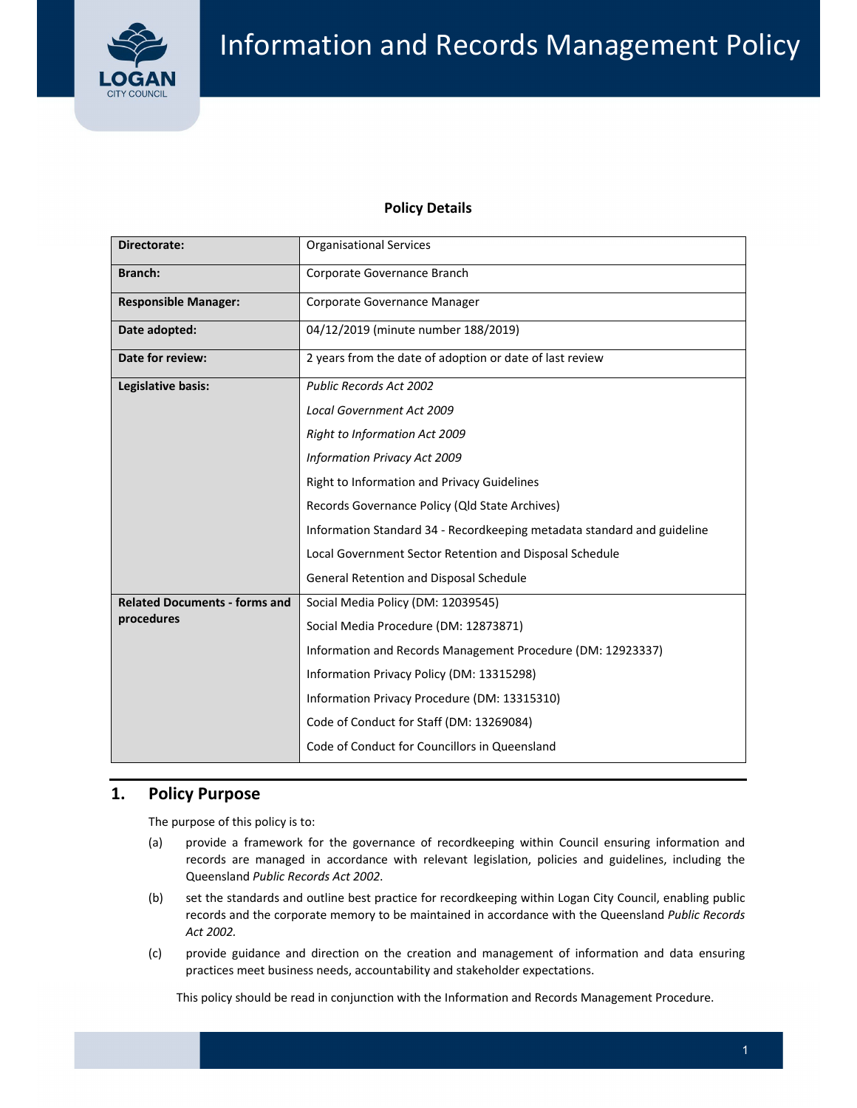

## **Policy Details**

| Directorate:                         | <b>Organisational Services</b>                                          |  |  |  |
|--------------------------------------|-------------------------------------------------------------------------|--|--|--|
| <b>Branch:</b>                       | Corporate Governance Branch                                             |  |  |  |
| <b>Responsible Manager:</b>          | Corporate Governance Manager                                            |  |  |  |
| Date adopted:                        | 04/12/2019 (minute number 188/2019)                                     |  |  |  |
| Date for review:                     | 2 years from the date of adoption or date of last review                |  |  |  |
| Legislative basis:                   | <b>Public Records Act 2002</b>                                          |  |  |  |
|                                      | Local Government Act 2009                                               |  |  |  |
|                                      | <b>Right to Information Act 2009</b>                                    |  |  |  |
|                                      | Information Privacy Act 2009                                            |  |  |  |
|                                      | Right to Information and Privacy Guidelines                             |  |  |  |
|                                      | Records Governance Policy (Qld State Archives)                          |  |  |  |
|                                      | Information Standard 34 - Recordkeeping metadata standard and guideline |  |  |  |
|                                      | Local Government Sector Retention and Disposal Schedule                 |  |  |  |
|                                      | General Retention and Disposal Schedule                                 |  |  |  |
| <b>Related Documents - forms and</b> | Social Media Policy (DM: 12039545)                                      |  |  |  |
| procedures                           | Social Media Procedure (DM: 12873871)                                   |  |  |  |
|                                      | Information and Records Management Procedure (DM: 12923337)             |  |  |  |
|                                      | Information Privacy Policy (DM: 13315298)                               |  |  |  |
|                                      | Information Privacy Procedure (DM: 13315310)                            |  |  |  |
|                                      | Code of Conduct for Staff (DM: 13269084)                                |  |  |  |
|                                      | Code of Conduct for Councillors in Queensland                           |  |  |  |

# **1. Policy Purpose**

The purpose of this policy is to:

- (a) provide a framework for the governance of recordkeeping within Council ensuring information and records are managed in accordance with relevant legislation, policies and guidelines, including the  Queensland *Public Records Act 2002*.
- (b) set the standards and outline best practice for recordkeeping within Logan City Council, enabling public  records and the corporate memory to be maintained in accordance with the Queensland *Public Records Act 2002.*
- (c) provide guidance and direction on the creation and management of information and data ensuring practices meet business needs, accountability and stakeholder expectations.

This policy should be read in conjunction with the Information and Records Management Procedure.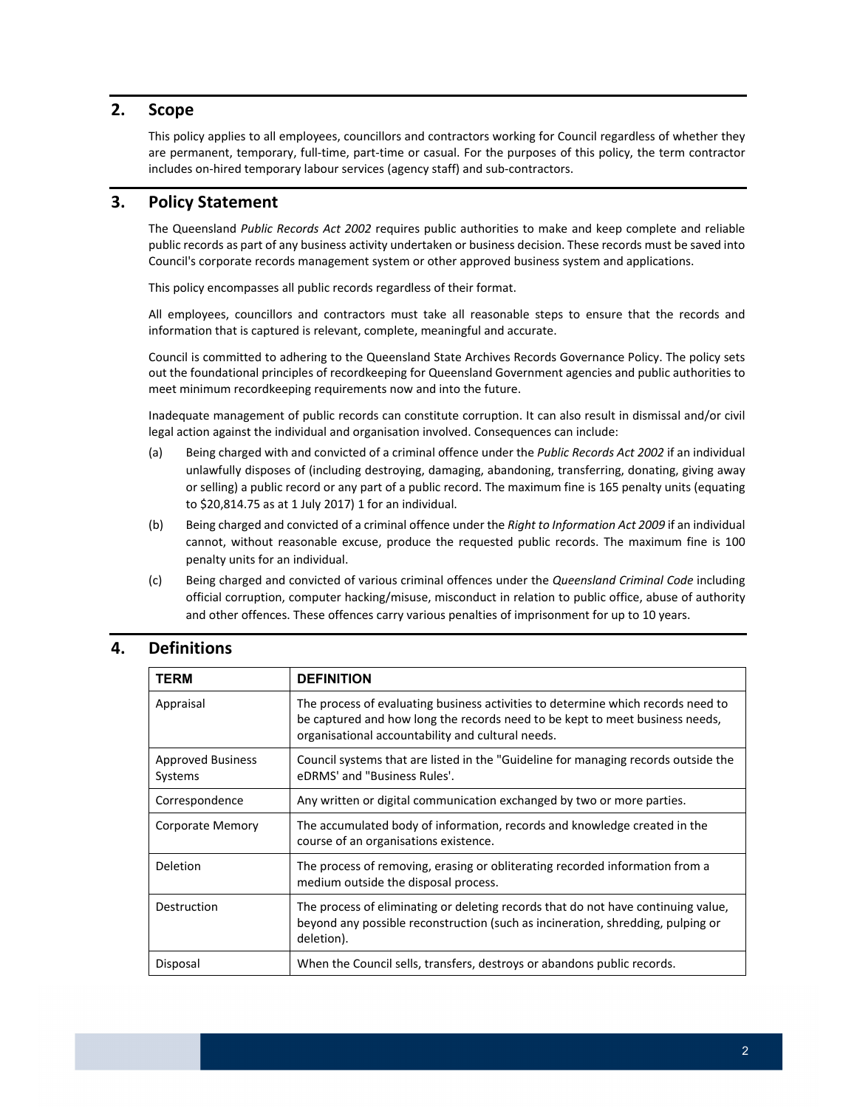#### **2. Scope**

 This policy applies to all employees, councillors and contractors working for Council regardless of whether they are permanent, temporary, full‐time, part‐time or casual. For the purposes of this policy, the term contractor includes on‐hired temporary labour services (agency staff) and sub‐contractors.

# **3. Policy Statement**

  The Queensland *Public Records Act 2002* requires public authorities to make and keep complete and reliable public records as part of any business activity undertaken or business decision. These records must be saved into Council's corporate records management system or other approved business system and applications.

This policy encompasses all public records regardless of their format.

 All employees, councillors and contractors must take all reasonable steps to ensure that the records and information that is captured is relevant, complete, meaningful and accurate.

 Council is committed to adhering to the Queensland State Archives Records Governance Policy. The policy sets out the foundational principles of recordkeeping for Queensland Government agencies and public authorities to meet minimum recordkeeping requirements now and into the future.

 Inadequate management of public records can constitute corruption. It can also result in dismissal and/or civil legal action against the individual and organisation involved. Consequences can include:

- (a) Being charged with and convicted of a criminal offence under the *Public Records Act 2002* if an individual unlawfully disposes of (including destroying, damaging, abandoning, transferring, donating, giving away or selling) a public record or any part of a public record. The maximum fine is 165 penalty units (equating to \$20,814.75 as at 1 July 2017) 1 for an individual.
- (b) Being charged and convicted of a criminal offence under the *Right to Information Act 2009* if an individual cannot, without reasonable excuse, produce the requested public records. The maximum fine is 100 penalty units for an individual.
- (c) Being charged and convicted of various criminal offences under the *Queensland Criminal Code* including official corruption, computer hacking/misuse, misconduct in relation to public office, abuse of authority and other offences. These offences carry various penalties of imprisonment for up to 10 years.

### **4. Definitions**

| <b>TERM</b>                         | <b>DEFINITION</b>                                                                                                                                                                                                     |  |
|-------------------------------------|-----------------------------------------------------------------------------------------------------------------------------------------------------------------------------------------------------------------------|--|
| Appraisal                           | The process of evaluating business activities to determine which records need to<br>be captured and how long the records need to be kept to meet business needs,<br>organisational accountability and cultural needs. |  |
| <b>Approved Business</b><br>Systems | Council systems that are listed in the "Guideline for managing records outside the<br>eDRMS' and "Business Rules'.                                                                                                    |  |
| Correspondence                      | Any written or digital communication exchanged by two or more parties.                                                                                                                                                |  |
| Corporate Memory                    | The accumulated body of information, records and knowledge created in the<br>course of an organisations existence.                                                                                                    |  |
| <b>Deletion</b>                     | The process of removing, erasing or obliterating recorded information from a<br>medium outside the disposal process.                                                                                                  |  |
| Destruction                         | The process of eliminating or deleting records that do not have continuing value,<br>beyond any possible reconstruction (such as incineration, shredding, pulping or<br>deletion).                                    |  |
| Disposal                            | When the Council sells, transfers, destroys or abandons public records.                                                                                                                                               |  |